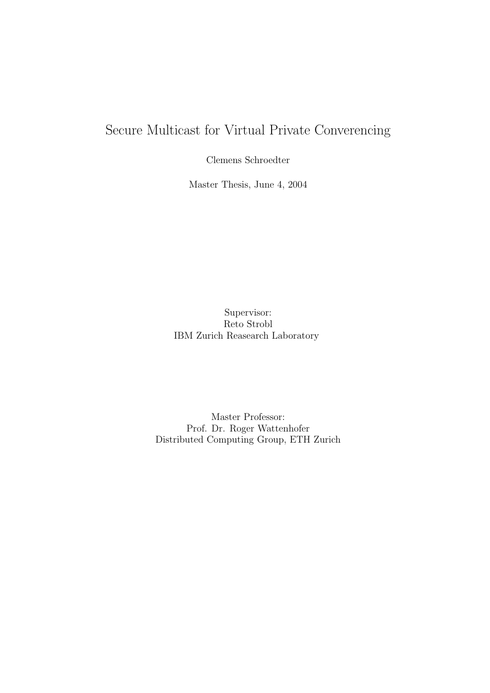# Secure Multicast for Virtual Private Converencing

Clemens Schroedter

Master Thesis, June 4, 2004

Supervisor: Reto Strobl IBM Zurich Reasearch Laboratory

Master Professor: Prof. Dr. Roger Wattenhofer Distributed Computing Group, ETH Zurich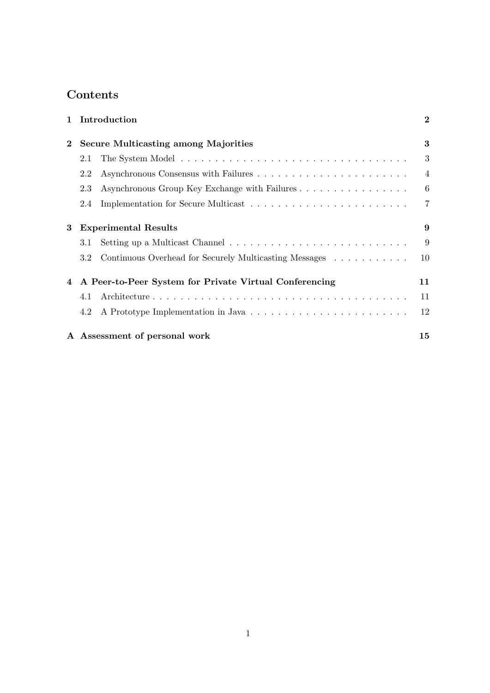## Contents

| $\mathbf{1}$ |                                                        | Introduction                                           | $\mathbf 2$    |
|--------------|--------------------------------------------------------|--------------------------------------------------------|----------------|
| $\bf{2}$     | <b>Secure Multicasting among Majorities</b>            |                                                        | 3              |
|              | 2.1                                                    |                                                        | 3              |
|              | 2.2                                                    |                                                        | $\overline{4}$ |
|              | 2.3                                                    | Asynchronous Group Key Exchange with Failures          | 6              |
|              | 2.4                                                    |                                                        | $\overline{7}$ |
| 3            | <b>Experimental Results</b>                            |                                                        | 9              |
|              | 3.1                                                    |                                                        | 9              |
|              | 3.2                                                    | Continuous Overhead for Securely Multicasting Messages | 10             |
| 4            | A Peer-to-Peer System for Private Virtual Conferencing |                                                        | 11             |
|              | 4.1                                                    |                                                        | 11             |
|              | 4.2                                                    |                                                        | 12             |
|              |                                                        | A Assessment of personal work                          | 15             |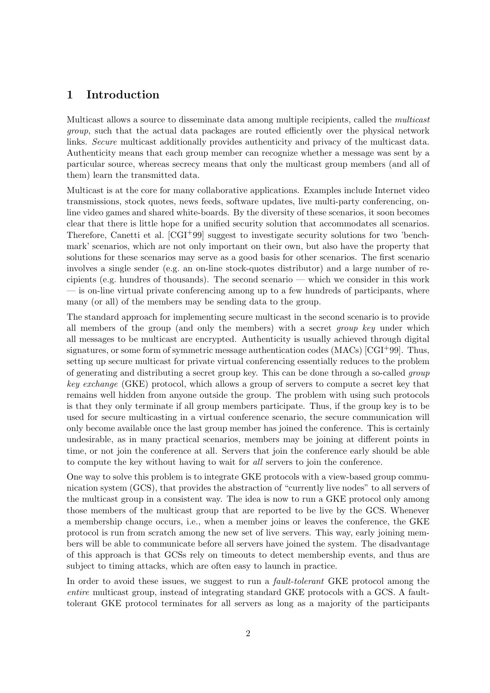## 1 Introduction

Multicast allows a source to disseminate data among multiple recipients, called the *multicast* group, such that the actual data packages are routed efficiently over the physical network links. Secure multicast additionally provides authenticity and privacy of the multicast data. Authenticity means that each group member can recognize whether a message was sent by a particular source, whereas secrecy means that only the multicast group members (and all of them) learn the transmitted data.

Multicast is at the core for many collaborative applications. Examples include Internet video transmissions, stock quotes, news feeds, software updates, live multi-party conferencing, online video games and shared white-boards. By the diversity of these scenarios, it soon becomes clear that there is little hope for a unified security solution that accommodates all scenarios. Therefore, Canetti et al. [CGI+99] suggest to investigate security solutions for two 'benchmark' scenarios, which are not only important on their own, but also have the property that solutions for these scenarios may serve as a good basis for other scenarios. The first scenario involves a single sender (e.g. an on-line stock-quotes distributor) and a large number of recipients (e.g. hundres of thousands). The second scenario — which we consider in this work — is on-line virtual private conferencing among up to a few hundreds of participants, where many (or all) of the members may be sending data to the group.

The standard approach for implementing secure multicast in the second scenario is to provide all members of the group (and only the members) with a secret group key under which all messages to be multicast are encrypted. Authenticity is usually achieved through digital signatures, or some form of symmetric message authentication codes (MACs) [CGI+99]. Thus, setting up secure multicast for private virtual conferencing essentially reduces to the problem of generating and distributing a secret group key. This can be done through a so-called group key exchange (GKE) protocol, which allows a group of servers to compute a secret key that remains well hidden from anyone outside the group. The problem with using such protocols is that they only terminate if all group members participate. Thus, if the group key is to be used for secure multicasting in a virtual conference scenario, the secure communication will only become available once the last group member has joined the conference. This is certainly undesirable, as in many practical scenarios, members may be joining at different points in time, or not join the conference at all. Servers that join the conference early should be able to compute the key without having to wait for all servers to join the conference.

One way to solve this problem is to integrate GKE protocols with a view-based group communication system (GCS), that provides the abstraction of "currently live nodes" to all servers of the multicast group in a consistent way. The idea is now to run a GKE protocol only among those members of the multicast group that are reported to be live by the GCS. Whenever a membership change occurs, i.e., when a member joins or leaves the conference, the GKE protocol is run from scratch among the new set of live servers. This way, early joining members will be able to communicate before all servers have joined the system. The disadvantage of this approach is that GCSs rely on timeouts to detect membership events, and thus are subject to timing attacks, which are often easy to launch in practice.

In order to avoid these issues, we suggest to run a *fault-tolerant* GKE protocol among the entire multicast group, instead of integrating standard GKE protocols with a GCS. A faulttolerant GKE protocol terminates for all servers as long as a majority of the participants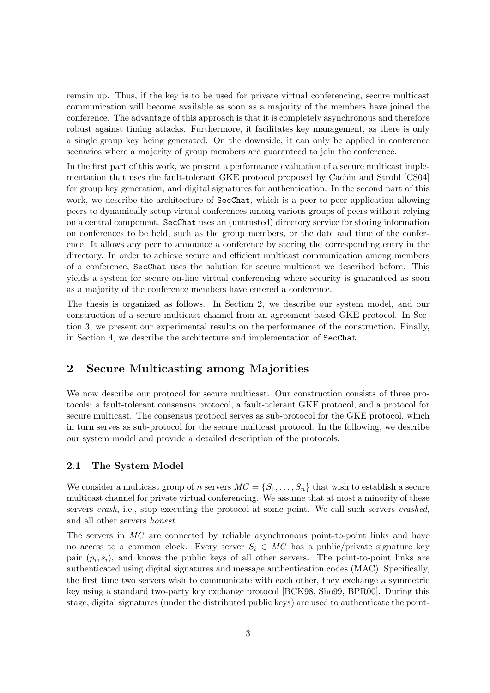remain up. Thus, if the key is to be used for private virtual conferencing, secure multicast communication will become available as soon as a majority of the members have joined the conference. The advantage of this approach is that it is completely asynchronous and therefore robust against timing attacks. Furthermore, it facilitates key management, as there is only a single group key being generated. On the downside, it can only be applied in conference scenarios where a majority of group members are guaranteed to join the conference.

In the first part of this work, we present a performance evaluation of a secure multicast implementation that uses the fault-tolerant GKE protocol proposed by Cachin and Strobl [CS04] for group key generation, and digital signatures for authentication. In the second part of this work, we describe the architecture of SecChat, which is a peer-to-peer application allowing peers to dynamically setup virtual conferences among various groups of peers without relying on a central component. SecChat uses an (untrusted) directory service for storing information on conferences to be held, such as the group members, or the date and time of the conference. It allows any peer to announce a conference by storing the corresponding entry in the directory. In order to achieve secure and efficient multicast communication among members of a conference, SecChat uses the solution for secure multicast we described before. This yields a system for secure on-line virtual conferencing where security is guaranteed as soon as a majority of the conference members have entered a conference.

The thesis is organized as follows. In Section 2, we describe our system model, and our construction of a secure multicast channel from an agreement-based GKE protocol. In Section 3, we present our experimental results on the performance of the construction. Finally, in Section 4, we describe the architecture and implementation of SecChat.

## 2 Secure Multicasting among Majorities

We now describe our protocol for secure multicast. Our construction consists of three protocols: a fault-tolerant consensus protocol, a fault-tolerant GKE protocol, and a protocol for secure multicast. The consensus protocol serves as sub-protocol for the GKE protocol, which in turn serves as sub-protocol for the secure multicast protocol. In the following, we describe our system model and provide a detailed description of the protocols.

### 2.1 The System Model

We consider a multicast group of n servers  $MC = \{S_1, \ldots, S_n\}$  that wish to establish a secure multicast channel for private virtual conferencing. We assume that at most a minority of these servers *crash*, i.e., stop executing the protocol at some point. We call such servers *crashed*, and all other servers honest.

The servers in MC are connected by reliable asynchronous point-to-point links and have no access to a common clock. Every server  $S_i \in MC$  has a public/private signature key pair  $(p_i, s_i)$ , and knows the public keys of all other servers. The point-to-point links are authenticated using digital signatures and message authentication codes (MAC). Specifically, the first time two servers wish to communicate with each other, they exchange a symmetric key using a standard two-party key exchange protocol [BCK98, Sho99, BPR00]. During this stage, digital signatures (under the distributed public keys) are used to authenticate the point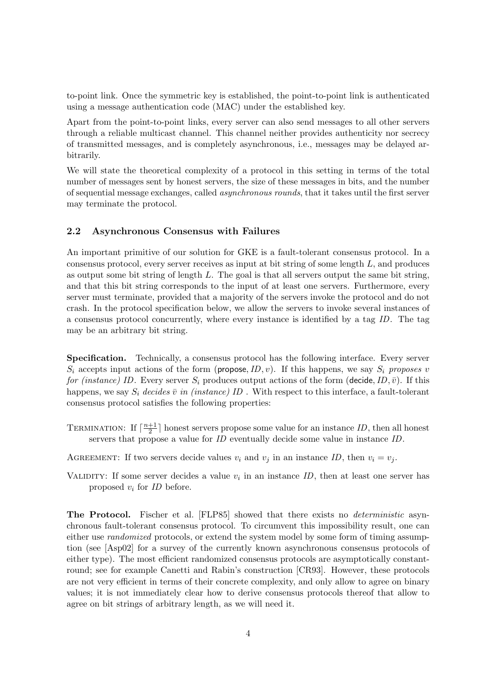to-point link. Once the symmetric key is established, the point-to-point link is authenticated using a message authentication code (MAC) under the established key.

Apart from the point-to-point links, every server can also send messages to all other servers through a reliable multicast channel. This channel neither provides authenticity nor secrecy of transmitted messages, and is completely asynchronous, i.e., messages may be delayed arbitrarily.

We will state the theoretical complexity of a protocol in this setting in terms of the total number of messages sent by honest servers, the size of these messages in bits, and the number of sequential message exchanges, called asynchronous rounds, that it takes until the first server may terminate the protocol.

#### 2.2 Asynchronous Consensus with Failures

An important primitive of our solution for GKE is a fault-tolerant consensus protocol. In a consensus protocol, every server receives as input at bit string of some length  $L$ , and produces as output some bit string of length  $L$ . The goal is that all servers output the same bit string, and that this bit string corresponds to the input of at least one servers. Furthermore, every server must terminate, provided that a majority of the servers invoke the protocol and do not crash. In the protocol specification below, we allow the servers to invoke several instances of a consensus protocol concurrently, where every instance is identified by a tag ID. The tag may be an arbitrary bit string.

Specification. Technically, a consensus protocol has the following interface. Every server  $S_i$  accepts input actions of the form (propose, ID, v). If this happens, we say  $S_i$  proposes v for (instance) ID. Every server  $S_i$  produces output actions of the form (decide, ID,  $\bar{v}$ ). If this happens, we say  $S_i$  decides  $\bar{v}$  in (instance) ID. With respect to this interface, a fault-tolerant consensus protocol satisfies the following properties:

- TERMINATION: If  $\lceil \frac{n+1}{2} \rceil$  $\frac{+1}{2}$  honest servers propose some value for an instance *ID*, then all honest servers that propose a value for ID eventually decide some value in instance ID.
- AGREEMENT: If two servers decide values  $v_i$  and  $v_j$  in an instance ID, then  $v_i = v_j$ .
- VALIDITY: If some server decides a value  $v_i$  in an instance  $ID$ , then at least one server has proposed  $v_i$  for ID before.

The Protocol. Fischer et al. [FLP85] showed that there exists no deterministic asynchronous fault-tolerant consensus protocol. To circumvent this impossibility result, one can either use *randomized* protocols, or extend the system model by some form of timing assumption (see [Asp02] for a survey of the currently known asynchronous consensus protocols of either type). The most efficient randomized consensus protocols are asymptotically constantround; see for example Canetti and Rabin's construction [CR93]. However, these protocols are not very efficient in terms of their concrete complexity, and only allow to agree on binary values; it is not immediately clear how to derive consensus protocols thereof that allow to agree on bit strings of arbitrary length, as we will need it.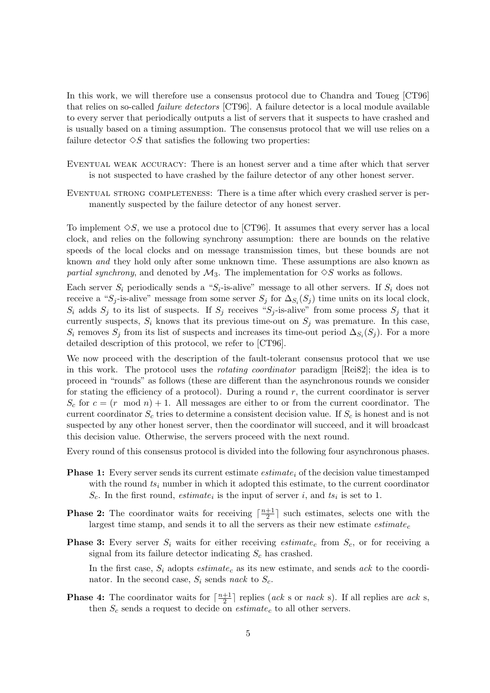In this work, we will therefore use a consensus protocol due to Chandra and Toueg [CT96] that relies on so-called failure detectors [CT96]. A failure detector is a local module available to every server that periodically outputs a list of servers that it suspects to have crashed and is usually based on a timing assumption. The consensus protocol that we will use relies on a failure detector  $\Diamond S$  that satisfies the following two properties:

- Eventual weak accuracy: There is an honest server and a time after which that server is not suspected to have crashed by the failure detector of any other honest server.
- Eventual strong completeness: There is a time after which every crashed server is permanently suspected by the failure detector of any honest server.

To implement  $\Diamond S$ , we use a protocol due to [CT96]. It assumes that every server has a local clock, and relies on the following synchrony assumption: there are bounds on the relative speeds of the local clocks and on message transmission times, but these bounds are not known and they hold only after some unknown time. These assumptions are also known as partial synchrony, and denoted by  $\mathcal{M}_3$ . The implementation for  $\Diamond S$  works as follows.

Each server  $S_i$  periodically sends a " $S_i$ -is-alive" message to all other servers. If  $S_i$  does not receive a "S<sub>j</sub>-is-alive" message from some server  $S_j$  for  $\Delta_{S_i}(S_j)$  time units on its local clock,  $S_i$  adds  $S_j$  to its list of suspects. If  $S_j$  receives " $S_j$ -is-alive" from some process  $S_j$  that it currently suspects,  $S_i$  knows that its previous time-out on  $S_j$  was premature. In this case,  $S_i$  removes  $S_j$  from its list of suspects and increases its time-out period  $\Delta_{S_i}(S_j)$ . For a more detailed description of this protocol, we refer to [CT96].

We now proceed with the description of the fault-tolerant consensus protocol that we use in this work. The protocol uses the rotating coordinator paradigm [Rei82]; the idea is to proceed in "rounds" as follows (these are different than the asynchronous rounds we consider for stating the efficiency of a protocol). During a round  $r$ , the current coordinator is server  $S_c$  for  $c = (r \mod n) + 1$ . All messages are either to or from the current coordinator. The current coordinator  $S_c$  tries to determine a consistent decision value. If  $S_c$  is honest and is not suspected by any other honest server, then the coordinator will succeed, and it will broadcast this decision value. Otherwise, the servers proceed with the next round.

Every round of this consensus protocol is divided into the following four asynchronous phases.

- **Phase 1:** Every server sends its current estimate *estimate<sub>i</sub>* of the decision value timestamped with the round  $ts_i$  number in which it adopted this estimate, to the current coordinator  $S_c$ . In the first round, *estimate<sub>i</sub>* is the input of server *i*, and  $ts_i$  is set to 1.
- **Phase 2:** The coordinator waits for receiving  $\lceil \frac{n+1}{2} \rceil$  $\frac{+1}{2}$  such estimates, selects one with the largest time stamp, and sends it to all the servers as their new estimate  $estimate<sub>c</sub>$
- **Phase 3:** Every server  $S_i$  waits for either receiving estimate<sub>c</sub> from  $S_c$ , or for receiving a signal from its failure detector indicating  $S_c$  has crashed.

In the first case,  $S_i$  adopts  $estimate_c$  as its new estimate, and sends ack to the coordinator. In the second case,  $S_i$  sends nack to  $S_c$ .

**Phase 4:** The coordinator waits for  $\lceil \frac{n+1}{2} \rceil$  $\frac{+1}{2}$  replies (*ack* s or *nack* s). If all replies are *ack* s, then  $S_c$  sends a request to decide on  $estimate_c$  to all other servers.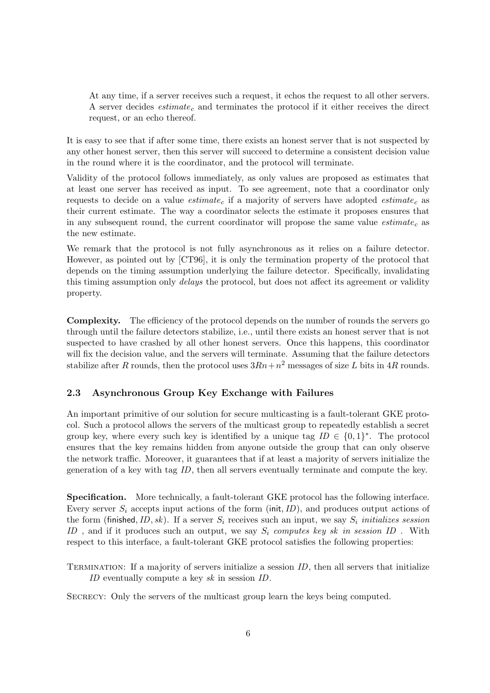At any time, if a server receives such a request, it echos the request to all other servers. A server decides  $estimate_c$  and terminates the protocol if it either receives the direct request, or an echo thereof.

It is easy to see that if after some time, there exists an honest server that is not suspected by any other honest server, then this server will succeed to determine a consistent decision value in the round where it is the coordinator, and the protocol will terminate.

Validity of the protocol follows immediately, as only values are proposed as estimates that at least one server has received as input. To see agreement, note that a coordinator only requests to decide on a value *estimate*<sub>c</sub> if a majority of servers have adopted *estimate*<sub>c</sub> as their current estimate. The way a coordinator selects the estimate it proposes ensures that in any subsequent round, the current coordinator will propose the same value  $estimate<sub>c</sub>$  as the new estimate.

We remark that the protocol is not fully asynchronous as it relies on a failure detector. However, as pointed out by [CT96], it is only the termination property of the protocol that depends on the timing assumption underlying the failure detector. Specifically, invalidating this timing assumption only *delays* the protocol, but does not affect its agreement or validity property.

Complexity. The efficiency of the protocol depends on the number of rounds the servers go through until the failure detectors stabilize, i.e., until there exists an honest server that is not suspected to have crashed by all other honest servers. Once this happens, this coordinator will fix the decision value, and the servers will terminate. Assuming that the failure detectors stabilize after R rounds, then the protocol uses  $3Rn + n^2$  messages of size L bits in 4R rounds.

#### 2.3 Asynchronous Group Key Exchange with Failures

An important primitive of our solution for secure multicasting is a fault-tolerant GKE protocol. Such a protocol allows the servers of the multicast group to repeatedly establish a secret group key, where every such key is identified by a unique tag  $ID \in \{0,1\}^*$ . The protocol ensures that the key remains hidden from anyone outside the group that can only observe the network traffic. Moreover, it guarantees that if at least a majority of servers initialize the generation of a key with tag ID, then all servers eventually terminate and compute the key.

Specification. More technically, a fault-tolerant GKE protocol has the following interface. Every server  $S_i$  accepts input actions of the form (init, ID), and produces output actions of the form (finished, ID, sk). If a server  $S_i$  receives such an input, we say  $S_i$  initializes session ID, and if it produces such an output, we say  $S_i$  computes key sk in session ID. With respect to this interface, a fault-tolerant GKE protocol satisfies the following properties:

TERMINATION: If a majority of servers initialize a session  $ID$ , then all servers that initialize ID eventually compute a key sk in session ID.

Secrecy: Only the servers of the multicast group learn the keys being computed.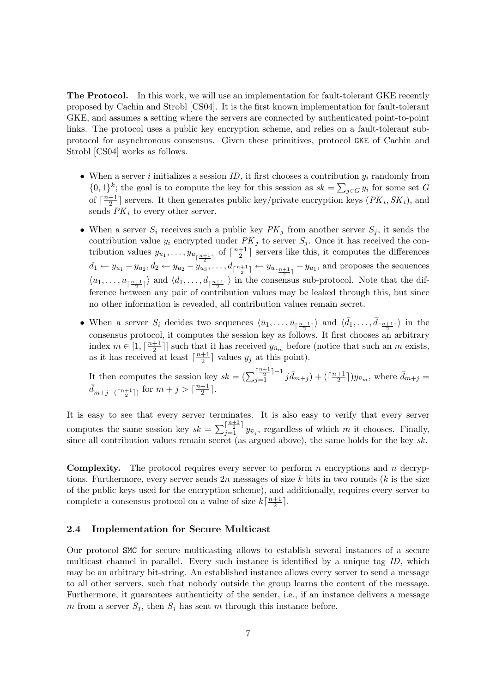The Protocol. In this work, we will use an implementation for fault-tolerant GKE recently proposed by Cachin and Strobl [CS04]. It is the first known implementation for fault-tolerant GKE, and assumes a setting where the servers are connected by authenticated point-to-point links. The protocol uses a public key encryption scheme, and relies on a fault-tolerant subprotocol for asynchronous consensus. Given these primitives, protocol GKE of Cachin and Strobl [CS04] works as follows.

- When a server i initializes a session ID, it first chooses a contribution  $y_i$  randomly from  $\{0,1\}^k$ ; the goal is to compute the key for this session as  $sk = \sum_{j \in G} y_i$  for some set G of  $\lceil \frac{n+1}{2} \rceil$  $\frac{+1}{2}$  servers. It then generates public key/private encryption keys  $(PK_i, SK_i)$ , and sends  $PK<sub>i</sub>$  to every other server.
- When a server  $S_i$  receives such a public key  $PK_j$  from another server  $S_j$ , it sends the contribution value  $y_i$  encrypted under  $PK_j$  to server  $S_j$ . Once it has received the contribution values  $y_{u_1}, \ldots, y_{u_{\lceil \frac{n+1}{2} \rceil}}$  of  $\lceil \frac{n+1}{2} \rceil$  $d_1 \leftarrow y_{u_1} - y_{u_2}, d_2 \leftarrow y_{u_2} - y_{u_3}, \dots, d_{\lceil \frac{n+1}{2} \rceil} \leftarrow y_{u_{\lceil \frac{n+1}{2} \rceil}} - y_{u_1}$ , and proposes the sequences  $\frac{+1}{2}$  servers like this, it computes the differences  $\langle u_1, \ldots, u_{\lceil \frac{n+1}{2} \rceil} \rangle$  and  $\langle d_1, \ldots, d_{\lceil \frac{n+1}{2} \rceil} \rangle$  in the consensus sub-protocol. Note that the difference between any pair of contribution values may be leaked through this, but since no other information is revealed, all contribution values remain secret.
- When a server  $S_i$  decides two sequences  $\langle \bar{u}_1, \ldots, \bar{u}_{\lceil \frac{n+1}{2} \rceil} \rangle$  and  $\langle \bar{d}_1, \ldots, \bar{d}_{\lceil \frac{n+1}{2} \rceil} \rangle$  in the consensus protocol, it computes the session key as follows. It first chooses an arbitrary index  $m \in [1, \lceil \frac{n+1}{2} \rceil]$  $\frac{+1}{2}$ ] such that it has received  $y_{\bar{u}_m}$  before (notice that such an m exists, as it has received at least  $\lceil \frac{n+1}{2} \rceil$  $\frac{+1}{2}$  values  $y_j$  at this point).

It then computes the session key  $sk = \left(\sum_{j=1}^{\lceil \frac{n+1}{2} \rceil-1} j \bar{d}_{m+j}\right) + \left(\lceil \frac{n+1}{2} \rceil-1 \right)$  $(\frac{+1}{2})y_{\bar{u}_m}$ , where  $\bar{d}_{m+j}$  =  $d_{m+j-(\lceil \frac{n+1}{2} \rceil)}$  for  $m+j > \lceil \frac{n+1}{2} \rceil$  $\frac{+1}{2}$ .

It is easy to see that every server terminates. It is also easy to verify that every server computes the same session key  $sk = \sum_{j=1}^{\lceil \frac{n+1}{2} \rceil} y_{\bar{u}_j}$ , regardless of which m it chooses. Finally, since all contribution values remain secret (as argued above), the same holds for the key  $sk$ .

**Complexity.** The protocol requires every server to perform  $n$  encryptions and  $n$  decryptions. Furthermore, every server sends  $2n$  messages of size k bits in two rounds (k is the size of the public keys used for the encryption scheme), and additionally, requires every server to complete a consensus protocol on a value of size  $k\left[\frac{n+1}{2}\right]$  $\frac{+1}{2}$ .

#### 2.4 Implementation for Secure Multicast

Our protocol SMC for secure multicasting allows to establish several instances of a secure multicast channel in parallel. Every such instance is identified by a unique tag ID, which may be an arbitrary bit-string. An established instance allows every server to send a message to all other servers, such that nobody outside the group learns the content of the message. Furthermore, it guarantees authenticity of the sender, i.e., if an instance delivers a message m from a server  $S_j$ , then  $S_j$  has sent m through this instance before.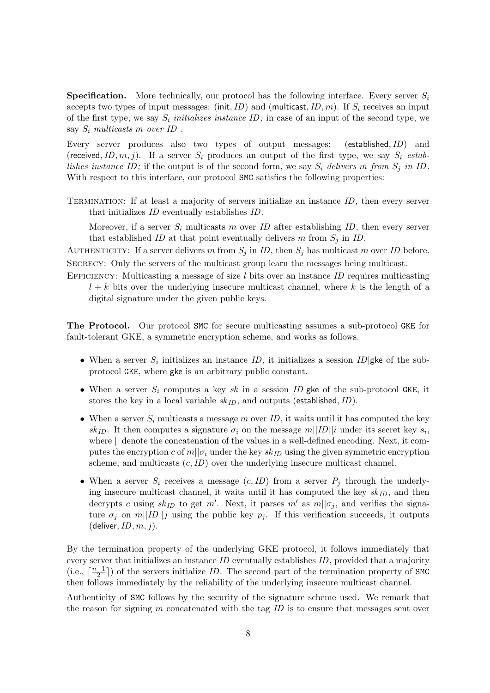**Specification.** More technically, our protocol has the following interface. Every server  $S_i$ accepts two types of input messages: (init, ID) and (multicast, ID, m). If  $S_i$  receives an input of the first type, we say  $S_i$  initializes instance ID; in case of an input of the second type, we say  $S_i$  multicasts m over ID.

Every server produces also two types of output messages: (established,ID) and (received, ID, m, j). If a server  $S_i$  produces an output of the first type, we say  $S_i$  establishes instance ID; if the output is of the second form, we say  $S_i$  delivers m from  $S_j$  in ID. With respect to this interface, our protocol SMC satisfies the following properties:

Termination: If at least a majority of servers initialize an instance ID, then every server that initializes ID eventually establishes ID.

Moreover, if a server  $S_i$  multicasts m over ID after establishing ID, then every server that established ID at that point eventually delivers m from  $S_i$  in ID.

AUTHENTICITY: If a server delivers m from  $S_j$  in ID, then  $S_j$  has multicast m over ID before. SECRECY: Only the servers of the multicast group learn the messages being multicast.

EFFICIENCY: Multicasting a message of size  $l$  bits over an instance ID requires multicasting  $l + k$  bits over the underlying insecure multicast channel, where k is the length of a digital signature under the given public keys.

The Protocol. Our protocol SMC for secure multicasting assumes a sub-protocol GKE for fault-tolerant GKE, a symmetric encryption scheme, and works as follows.

- When a server  $S_i$  initializes an instance ID, it initializes a session ID gke of the subprotocol GKE, where gke is an arbitrary public constant.
- When a server  $S_i$  computes a key sk in a session ID gke of the sub-protocol GKE, it stores the key in a local variable  $sk_{ID}$ , and outputs (established, ID).
- When a server  $S_i$  multicasts a message m over ID, it waits until it has computed the key  $sk_{ID}$ . It then computes a signature  $\sigma_i$  on the message  $m||ID||i$  under its secret key  $s_i$ , where || denote the concatenation of the values in a well-defined encoding. Next, it computes the encryption c of  $m||\sigma_i$  under the key sk<sub>ID</sub> using the given symmetric encryption scheme, and multicasts  $(c, ID)$  over the underlying insecure multicast channel.
- When a server  $S_i$  receives a message  $(c, ID)$  from a server  $P_j$  through the underlying insecure multicast channel, it waits until it has computed the key  $sk_{ID}$ , and then decrypts c using  $sk_{ID}$  to get m'. Next, it parses m' as  $m||\sigma_j$ , and verifies the signature  $\sigma_j$  on  $m||ID||j$  using the public key  $p_j$ . If this verification succeeds, it outputs (deliver,  $ID, m, j$ ).

By the termination property of the underlying GKE protocol, it follows immediately that every server that initializes an instance ID eventually establishes ID, provided that a majority  $(i.e., \lceil \frac{n+1}{2} \rceil$  $\frac{+1}{2}$ ) of the servers initialize *ID*. The second part of the termination property of SMC then follows immediately by the reliability of the underlying insecure multicast channel.

Authenticity of SMC follows by the security of the signature scheme used. We remark that the reason for signing  $m$  concatenated with the tag  $ID$  is to ensure that messages sent over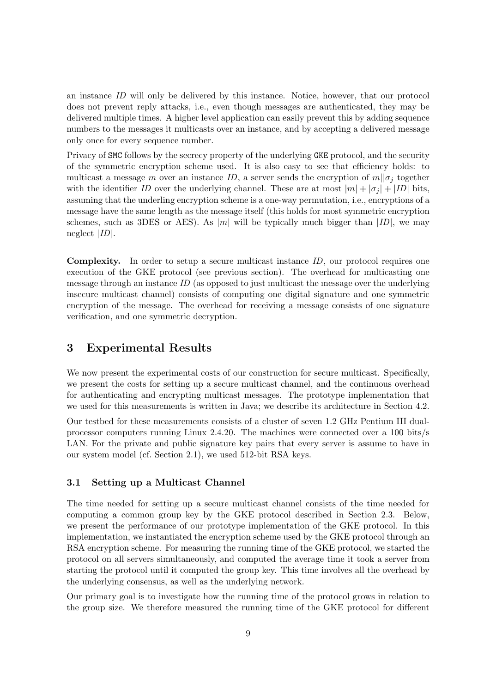an instance ID will only be delivered by this instance. Notice, however, that our protocol does not prevent reply attacks, i.e., even though messages are authenticated, they may be delivered multiple times. A higher level application can easily prevent this by adding sequence numbers to the messages it multicasts over an instance, and by accepting a delivered message only once for every sequence number.

Privacy of SMC follows by the secrecy property of the underlying GKE protocol, and the security of the symmetric encryption scheme used. It is also easy to see that efficiency holds: to multicast a message m over an instance ID, a server sends the encryption of  $m||\sigma_i$  together with the identifier ID over the underlying channel. These are at most  $|m| + |\sigma_j| + |ID|$  bits, assuming that the underling encryption scheme is a one-way permutation, i.e., encryptions of a message have the same length as the message itself (this holds for most symmetric encryption schemes, such as 3DES or AES). As |m| will be typically much bigger than  $|ID|$ , we may neglect |ID|.

**Complexity.** In order to setup a secure multicast instance ID, our protocol requires one execution of the GKE protocol (see previous section). The overhead for multicasting one message through an instance  $ID$  (as opposed to just multicast the message over the underlying insecure multicast channel) consists of computing one digital signature and one symmetric encryption of the message. The overhead for receiving a message consists of one signature verification, and one symmetric decryption.

## 3 Experimental Results

We now present the experimental costs of our construction for secure multicast. Specifically, we present the costs for setting up a secure multicast channel, and the continuous overhead for authenticating and encrypting multicast messages. The prototype implementation that we used for this measurements is written in Java; we describe its architecture in Section 4.2.

Our testbed for these measurements consists of a cluster of seven 1.2 GHz Pentium III dualprocessor computers running Linux 2.4.20. The machines were connected over a 100 bits/s LAN. For the private and public signature key pairs that every server is assume to have in our system model (cf. Section 2.1), we used 512-bit RSA keys.

#### 3.1 Setting up a Multicast Channel

The time needed for setting up a secure multicast channel consists of the time needed for computing a common group key by the GKE protocol described in Section 2.3. Below, we present the performance of our prototype implementation of the GKE protocol. In this implementation, we instantiated the encryption scheme used by the GKE protocol through an RSA encryption scheme. For measuring the running time of the GKE protocol, we started the protocol on all servers simultaneously, and computed the average time it took a server from starting the protocol until it computed the group key. This time involves all the overhead by the underlying consensus, as well as the underlying network.

Our primary goal is to investigate how the running time of the protocol grows in relation to the group size. We therefore measured the running time of the GKE protocol for different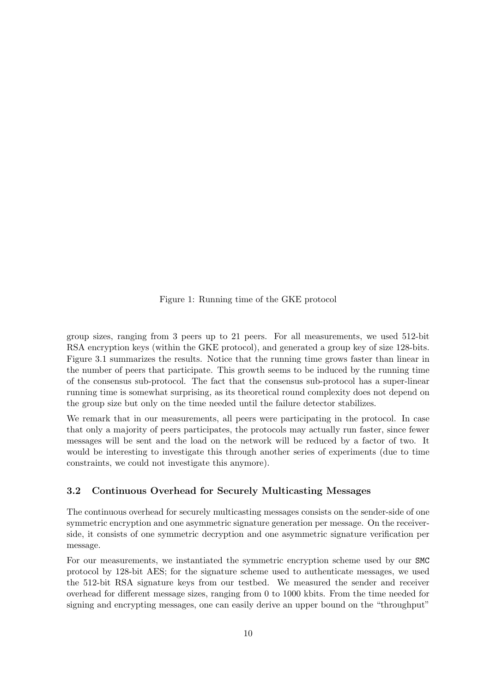Figure 1: Running time of the GKE protocol

group sizes, ranging from 3 peers up to 21 peers. For all measurements, we used 512-bit RSA encryption keys (within the GKE protocol), and generated a group key of size 128-bits. Figure 3.1 summarizes the results. Notice that the running time grows faster than linear in the number of peers that participate. This growth seems to be induced by the running time of the consensus sub-protocol. The fact that the consensus sub-protocol has a super-linear running time is somewhat surprising, as its theoretical round complexity does not depend on the group size but only on the time needed until the failure detector stabilizes.

We remark that in our measurements, all peers were participating in the protocol. In case that only a majority of peers participates, the protocols may actually run faster, since fewer messages will be sent and the load on the network will be reduced by a factor of two. It would be interesting to investigate this through another series of experiments (due to time constraints, we could not investigate this anymore).

### 3.2 Continuous Overhead for Securely Multicasting Messages

The continuous overhead for securely multicasting messages consists on the sender-side of one symmetric encryption and one asymmetric signature generation per message. On the receiverside, it consists of one symmetric decryption and one asymmetric signature verification per message.

For our measurements, we instantiated the symmetric encryption scheme used by our SMC protocol by 128-bit AES; for the signature scheme used to authenticate messages, we used the 512-bit RSA signature keys from our testbed. We measured the sender and receiver overhead for different message sizes, ranging from 0 to 1000 kbits. From the time needed for signing and encrypting messages, one can easily derive an upper bound on the "throughput"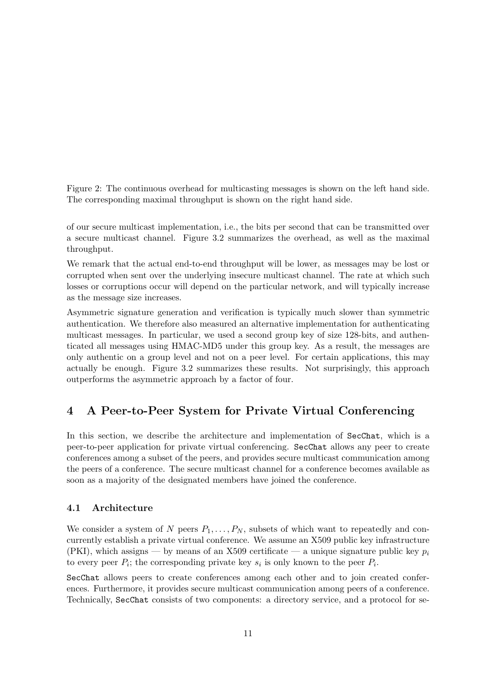Figure 2: The continuous overhead for multicasting messages is shown on the left hand side. The corresponding maximal throughput is shown on the right hand side.

of our secure multicast implementation, i.e., the bits per second that can be transmitted over a secure multicast channel. Figure 3.2 summarizes the overhead, as well as the maximal throughput.

We remark that the actual end-to-end throughput will be lower, as messages may be lost or corrupted when sent over the underlying insecure multicast channel. The rate at which such losses or corruptions occur will depend on the particular network, and will typically increase as the message size increases.

Asymmetric signature generation and verification is typically much slower than symmetric authentication. We therefore also measured an alternative implementation for authenticating multicast messages. In particular, we used a second group key of size 128-bits, and authenticated all messages using HMAC-MD5 under this group key. As a result, the messages are only authentic on a group level and not on a peer level. For certain applications, this may actually be enough. Figure 3.2 summarizes these results. Not surprisingly, this approach outperforms the asymmetric approach by a factor of four.

## 4 A Peer-to-Peer System for Private Virtual Conferencing

In this section, we describe the architecture and implementation of SecChat, which is a peer-to-peer application for private virtual conferencing. SecChat allows any peer to create conferences among a subset of the peers, and provides secure multicast communication among the peers of a conference. The secure multicast channel for a conference becomes available as soon as a majority of the designated members have joined the conference.

#### 4.1 Architecture

We consider a system of N peers  $P_1, \ldots, P_N$ , subsets of which want to repeatedly and concurrently establish a private virtual conference. We assume an X509 public key infrastructure (PKI), which assigns — by means of an X509 certificate — a unique signature public key  $p_i$ to every peer  $P_i$ ; the corresponding private key  $s_i$  is only known to the peer  $P_i$ .

SecChat allows peers to create conferences among each other and to join created conferences. Furthermore, it provides secure multicast communication among peers of a conference. Technically, SecChat consists of two components: a directory service, and a protocol for se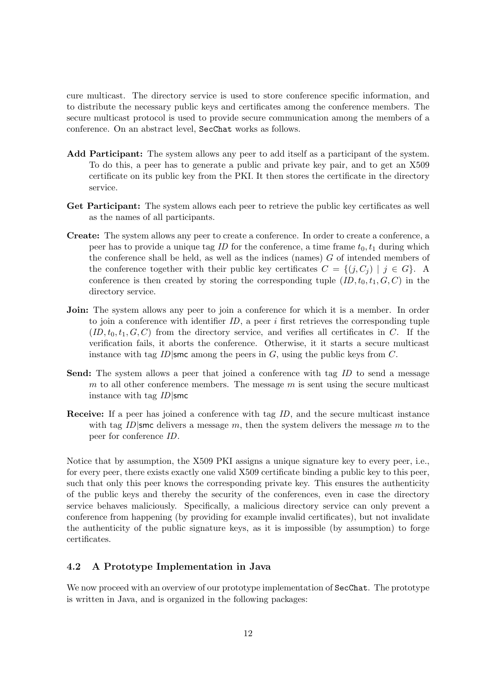cure multicast. The directory service is used to store conference specific information, and to distribute the necessary public keys and certificates among the conference members. The secure multicast protocol is used to provide secure communication among the members of a conference. On an abstract level, SecChat works as follows.

- Add Participant: The system allows any peer to add itself as a participant of the system. To do this, a peer has to generate a public and private key pair, and to get an X509 certificate on its public key from the PKI. It then stores the certificate in the directory service.
- Get Participant: The system allows each peer to retrieve the public key certificates as well as the names of all participants.
- Create: The system allows any peer to create a conference. In order to create a conference, a peer has to provide a unique tag ID for the conference, a time frame  $t_0, t_1$  during which the conference shall be held, as well as the indices (names)  $G$  of intended members of the conference together with their public key certificates  $C = \{(j, C_j) | j \in G\}$ . conference is then created by storing the corresponding tuple  $(ID, t_0, t_1, G, C)$  in the directory service.
- Join: The system allows any peer to join a conference for which it is a member. In order to join a conference with identifier  $ID$ , a peer i first retrieves the corresponding tuple  $(ID, t_0, t_1, G, C)$  from the directory service, and verifies all certificates in C. If the verification fails, it aborts the conference. Otherwise, it it starts a secure multicast instance with tag  $ID|\textsf{smc}$  among the peers in  $G$ , using the public keys from  $C$ .
- Send: The system allows a peer that joined a conference with tag ID to send a message  $m$  to all other conference members. The message  $m$  is sent using the secure multicast instance with tag  $ID$ |smc
- Receive: If a peer has joined a conference with tag ID, and the secure multicast instance with tag ID smc delivers a message m, then the system delivers the message m to the peer for conference ID.

Notice that by assumption, the X509 PKI assigns a unique signature key to every peer, i.e., for every peer, there exists exactly one valid X509 certificate binding a public key to this peer, such that only this peer knows the corresponding private key. This ensures the authenticity of the public keys and thereby the security of the conferences, even in case the directory service behaves maliciously. Specifically, a malicious directory service can only prevent a conference from happening (by providing for example invalid certificates), but not invalidate the authenticity of the public signature keys, as it is impossible (by assumption) to forge certificates.

#### 4.2 A Prototype Implementation in Java

We now proceed with an overview of our prototype implementation of SecChat. The prototype is written in Java, and is organized in the following packages: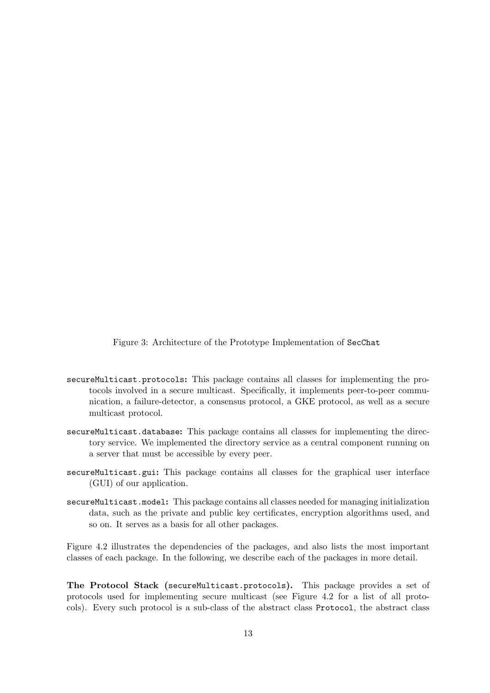Figure 3: Architecture of the Prototype Implementation of SecChat

- secureMulticast.protocols: This package contains all classes for implementing the protocols involved in a secure multicast. Specifically, it implements peer-to-peer communication, a failure-detector, a consensus protocol, a GKE protocol, as well as a secure multicast protocol.
- secureMulticast.database: This package contains all classes for implementing the directory service. We implemented the directory service as a central component running on a server that must be accessible by every peer.
- secureMulticast.gui: This package contains all classes for the graphical user interface (GUI) of our application.
- secureMulticast.model: This package contains all classes needed for managing initialization data, such as the private and public key certificates, encryption algorithms used, and so on. It serves as a basis for all other packages.

Figure 4.2 illustrates the dependencies of the packages, and also lists the most important classes of each package. In the following, we describe each of the packages in more detail.

The Protocol Stack (secureMulticast.protocols). This package provides a set of protocols used for implementing secure multicast (see Figure 4.2 for a list of all protocols). Every such protocol is a sub-class of the abstract class Protocol, the abstract class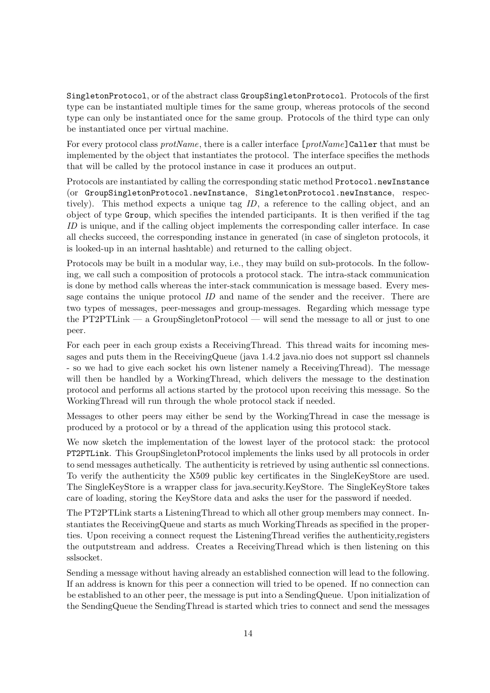SingletonProtocol, or of the abstract class GroupSingletonProtocol. Protocols of the first type can be instantiated multiple times for the same group, whereas protocols of the second type can only be instantiated once for the same group. Protocols of the third type can only be instantiated once per virtual machine.

For every protocol class *protName*, there is a caller interface [*protName*]Caller that must be implemented by the object that instantiates the protocol. The interface specifies the methods that will be called by the protocol instance in case it produces an output.

Protocols are instantiated by calling the corresponding static method Protocol.newInstance (or GroupSingletonProtocol.newInstance, SingletonProtocol.newInstance, respectively). This method expects a unique tag ID, a reference to the calling object, and an object of type Group, which specifies the intended participants. It is then verified if the tag ID is unique, and if the calling object implements the corresponding caller interface. In case all checks succeed, the corresponding instance in generated (in case of singleton protocols, it is looked-up in an internal hashtable) and returned to the calling object.

Protocols may be built in a modular way, i.e., they may build on sub-protocols. In the following, we call such a composition of protocols a protocol stack. The intra-stack communication is done by method calls whereas the inter-stack communication is message based. Every message contains the unique protocol ID and name of the sender and the receiver. There are two types of messages, peer-messages and group-messages. Regarding which message type the PT2PTLink — a GroupSingletonProtocol — will send the message to all or just to one peer.

For each peer in each group exists a ReceivingThread. This thread waits for incoming messages and puts them in the ReceivingQueue (java 1.4.2 java.nio does not support ssl channels - so we had to give each socket his own listener namely a ReceivingThread). The message will then be handled by a WorkingThread, which delivers the message to the destination protocol and performs all actions started by the protocol upon receiving this message. So the WorkingThread will run through the whole protocol stack if needed.

Messages to other peers may either be send by the WorkingThread in case the message is produced by a protocol or by a thread of the application using this protocol stack.

We now sketch the implementation of the lowest layer of the protocol stack: the protocol PT2PTLink. This GroupSingletonProtocol implements the links used by all protocols in order to send messages authetically. The authenticity is retrieved by using authentic ssl connections. To verify the authenticity the X509 public key certificates in the SingleKeyStore are used. The SingleKeyStore is a wrapper class for java.security.KeyStore. The SingleKeyStore takes care of loading, storing the KeyStore data and asks the user for the password if needed.

The PT2PTLink starts a ListeningThread to which all other group members may connect. Instantiates the ReceivingQueue and starts as much WorkingThreads as specified in the properties. Upon receiving a connect request the ListeningThread verifies the authenticity,registers the outputstream and address. Creates a ReceivingThread which is then listening on this sslsocket.

Sending a message without having already an established connection will lead to the following. If an address is known for this peer a connection will tried to be opened. If no connection can be established to an other peer, the message is put into a SendingQueue. Upon initialization of the SendingQueue the SendingThread is started which tries to connect and send the messages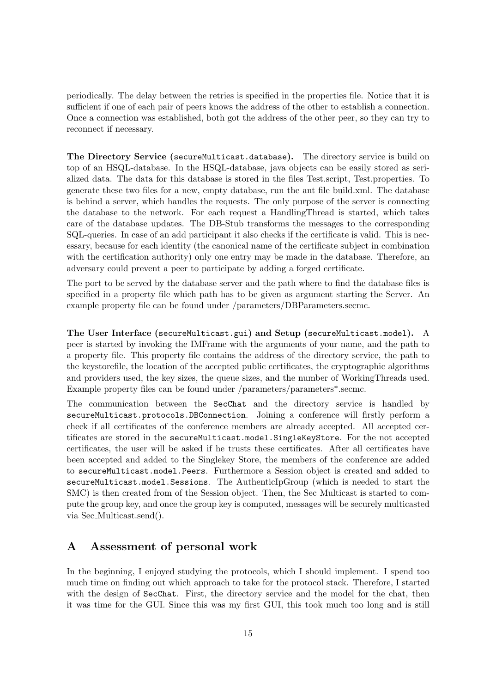periodically. The delay between the retries is specified in the properties file. Notice that it is sufficient if one of each pair of peers knows the address of the other to establish a connection. Once a connection was established, both got the address of the other peer, so they can try to reconnect if necessary.

The Directory Service (secureMulticast.database). The directory service is build on top of an HSQL-database. In the HSQL-database, java objects can be easily stored as serialized data. The data for this database is stored in the files Test.script, Test.properties. To generate these two files for a new, empty database, run the ant file build.xml. The database is behind a server, which handles the requests. The only purpose of the server is connecting the database to the network. For each request a HandlingThread is started, which takes care of the database updates. The DB-Stub transforms the messages to the corresponding SQL-queries. In case of an add participant it also checks if the certificate is valid. This is necessary, because for each identity (the canonical name of the certificate subject in combination with the certification authority) only one entry may be made in the database. Therefore, an adversary could prevent a peer to participate by adding a forged certificate.

The port to be served by the database server and the path where to find the database files is specified in a property file which path has to be given as argument starting the Server. An example property file can be found under /parameters/DBParameters.secmc.

The User Interface (secureMulticast.gui) and Setup (secureMulticast.model). A peer is started by invoking the IMFrame with the arguments of your name, and the path to a property file. This property file contains the address of the directory service, the path to the keystorefile, the location of the accepted public certificates, the cryptographic algorithms and providers used, the key sizes, the queue sizes, and the number of WorkingThreads used. Example property files can be found under /parameters/parameters\*.secmc.

The communication between the SecChat and the directory service is handled by secureMulticast.protocols.DBConnection. Joining a conference will firstly perform a check if all certificates of the conference members are already accepted. All accepted certificates are stored in the secureMulticast.model.SingleKeyStore. For the not accepted certificates, the user will be asked if he trusts these certificates. After all certificates have been accepted and added to the Singlekey Store, the members of the conference are added to secureMulticast.model.Peers. Furthermore a Session object is created and added to secureMulticast.model.Sessions. The AuthenticIpGroup (which is needed to start the SMC) is then created from of the Session object. Then, the Sec Multicast is started to compute the group key, and once the group key is computed, messages will be securely multicasted via Sec Multicast.send().

## A Assessment of personal work

In the beginning, I enjoyed studying the protocols, which I should implement. I spend too much time on finding out which approach to take for the protocol stack. Therefore, I started with the design of SecChat. First, the directory service and the model for the chat, then it was time for the GUI. Since this was my first GUI, this took much too long and is still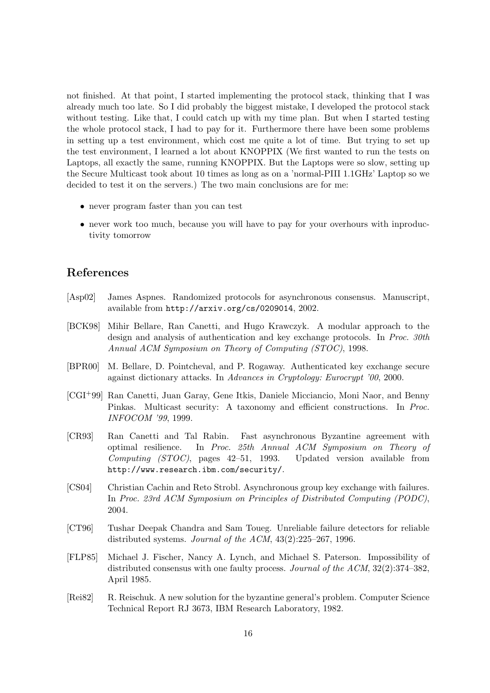not finished. At that point, I started implementing the protocol stack, thinking that I was already much too late. So I did probably the biggest mistake, I developed the protocol stack without testing. Like that, I could catch up with my time plan. But when I started testing the whole protocol stack, I had to pay for it. Furthermore there have been some problems in setting up a test environment, which cost me quite a lot of time. But trying to set up the test environment, I learned a lot about KNOPPIX (We first wanted to run the tests on Laptops, all exactly the same, running KNOPPIX. But the Laptops were so slow, setting up the Secure Multicast took about 10 times as long as on a 'normal-PIII 1.1GHz' Laptop so we decided to test it on the servers.) The two main conclusions are for me:

- never program faster than you can test
- never work too much, because you will have to pay for your overhours with inproductivity tomorrow

## References

- [Asp02] James Aspnes. Randomized protocols for asynchronous consensus. Manuscript, available from http://arxiv.org/cs/0209014, 2002.
- [BCK98] Mihir Bellare, Ran Canetti, and Hugo Krawczyk. A modular approach to the design and analysis of authentication and key exchange protocols. In Proc. 30th Annual ACM Symposium on Theory of Computing (STOC), 1998.
- [BPR00] M. Bellare, D. Pointcheval, and P. Rogaway. Authenticated key exchange secure against dictionary attacks. In Advances in Cryptology: Eurocrypt '00, 2000.
- [CGI+99] Ran Canetti, Juan Garay, Gene Itkis, Daniele Micciancio, Moni Naor, and Benny Pinkas. Multicast security: A taxonomy and efficient constructions. In Proc. INFOCOM '99, 1999.
- [CR93] Ran Canetti and Tal Rabin. Fast asynchronous Byzantine agreement with optimal resilience. In Proc. 25th Annual ACM Symposium on Theory of Computing (STOC), pages 42–51, 1993. Updated version available from http://www.research.ibm.com/security/.
- [CS04] Christian Cachin and Reto Strobl. Asynchronous group key exchange with failures. In Proc. 23rd ACM Symposium on Principles of Distributed Computing (PODC), 2004.
- [CT96] Tushar Deepak Chandra and Sam Toueg. Unreliable failure detectors for reliable distributed systems. Journal of the ACM, 43(2):225–267, 1996.
- [FLP85] Michael J. Fischer, Nancy A. Lynch, and Michael S. Paterson. Impossibility of distributed consensus with one faulty process. Journal of the ACM, 32(2):374–382, April 1985.
- [Rei82] R. Reischuk. A new solution for the byzantine general's problem. Computer Science Technical Report RJ 3673, IBM Research Laboratory, 1982.